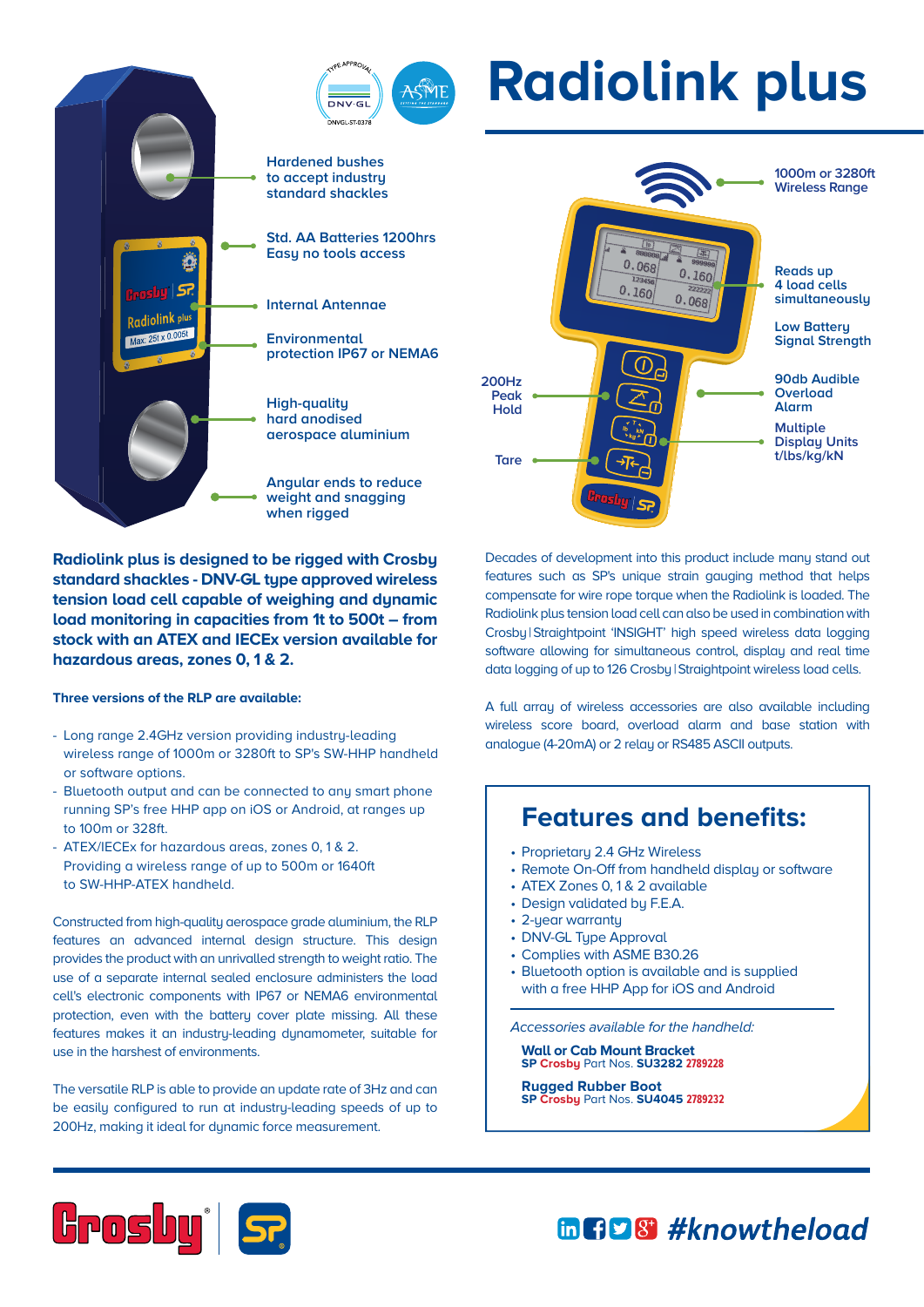## ASME  $DNNGE$ **Hardened bushes to accept industry standard shackles Std. AA Batteries 1200hrs Easy no tools access** į. **Internal Antennae** Radiolink plus  $0.61 \times 0.005t$ **Environmental protection IP67 or NEMA6 High-quality hard anodised aerospace aluminium Angular ends to reduce weight and snagging when rigged**

**Radiolink plus is designed to be rigged with Crosby standard shackles - DNV-GL type approved wireless tension load cell capable of weighing and dynamic load monitoring in capacities from 1t to 500t – from stock with an ATEX and IECEx version available for hazardous areas, zones 0, 1 & 2.**

## **Three versions of the RLP are available:**

- Long range 2.4GHz version providing industry-leading wireless range of 1000m or 3280ft to SP's SW-HHP handheld or software options.
- Bluetooth output and can be connected to any smart phone running SP's free HHP app on iOS or Android, at ranges up to 100m or 328ft.
- ATEX/IECEx for hazardous areas, zones 0, 1 & 2. Providing a wireless range of up to 500m or 1640ft to SW-HHP-ATEX handheld.

Constructed from high-quality aerospace grade aluminium, the RLP features an advanced internal design structure. This design provides the product with an unrivalled strength to weight ratio. The use of a separate internal sealed enclosure administers the load cell's electronic components with IP67 or NEMA6 environmental protection, even with the battery cover plate missing. All these features makes it an industry-leading dynamometer, suitable for use in the harshest of environments.

The versatile RLP is able to provide an update rate of 3Hz and can be easily configured to run at industry-leading speeds of up to 200Hz, making it ideal for dynamic force measurement.



**Radiolink plus**

Decades of development into this product include many stand out features such as SP's unique strain gauging method that helps compensate for wire rope torque when the Radiolink is loaded. The Radiolink plus tension load cell can also be used in combination with Crosbu | Straightpoint 'INSIGHT' high speed wireless data logging software allowing for simultaneous control, display and real time data logging of up to 126 Crosby|Straightpoint wireless load cells.

A full array of wireless accessories are also available including wireless score board, overload alarm and base station with analogue (4-20mA) or 2 relay or RS485 ASCII outputs.

## **Features and benefits:**

- Proprietary 2.4 GHz Wireless
- Remote On-Off from handheld display or software
- ATEX Zones 0, 1 & 2 available
- Design validated by F.E.A.
- 2-year warranty
- DNV-GL Type Approval
- Complies with ASME B30.26
- Bluetooth option is available and is supplied with a free HHP App for iOS and Android

Accessories available for the handheld:

 **Wall or Cab Mount Bracket SP Crosby** Part Nos. **SU3282 2789228**

 **Rugged Rubber Boot SP Crosby** Part Nos. **SU4045 2789232**



mnp8 #knowtheload